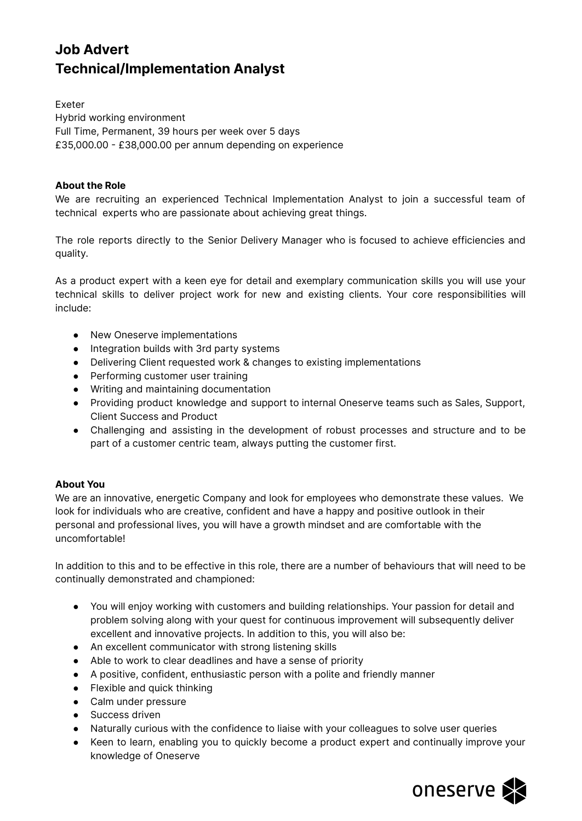# **Job Advert Technical/Implementation Analyst**

Exeter Hybrid working environment Full Time, Permanent, 39 hours per week over 5 days £35,000.00 - £38,000.00 per annum depending on experience

## **About the Role**

We are recruiting an experienced Technical Implementation Analyst to join a successful team of technical experts who are passionate about achieving great things.

The role reports directly to the Senior Delivery Manager who is focused to achieve efficiencies and quality.

As a product expert with a keen eye for detail and exemplary communication skills you will use your technical skills to deliver project work for new and existing clients. Your core responsibilities will include:

- New Oneserve implementations
- Integration builds with 3rd party systems
- Delivering Client requested work & changes to existing implementations
- Performing customer user training
- Writing and maintaining documentation
- Providing product knowledge and support to internal Oneserve teams such as Sales, Support, Client Success and Product
- Challenging and assisting in the development of robust processes and structure and to be part of a customer centric team, always putting the customer first.

#### **About You**

We are an innovative, energetic Company and look for employees who demonstrate these values. We look for individuals who are creative, confident and have a happy and positive outlook in their personal and professional lives, you will have a growth mindset and are comfortable with the uncomfortable!

In addition to this and to be effective in this role, there are a number of behaviours that will need to be continually demonstrated and championed:

- You will enjoy working with customers and building relationships. Your passion for detail and problem solving along with your quest for continuous improvement will subsequently deliver excellent and innovative projects. In addition to this, you will also be:
- An excellent communicator with strong listening skills
- Able to work to clear deadlines and have a sense of priority
- A positive, confident, enthusiastic person with a polite and friendly manner
- Flexible and quick thinking
- Calm under pressure
- Success driven
- Naturally curious with the confidence to liaise with your colleagues to solve user queries
- Keen to learn, enabling you to quickly become a product expert and continually improve your knowledge of Oneserve

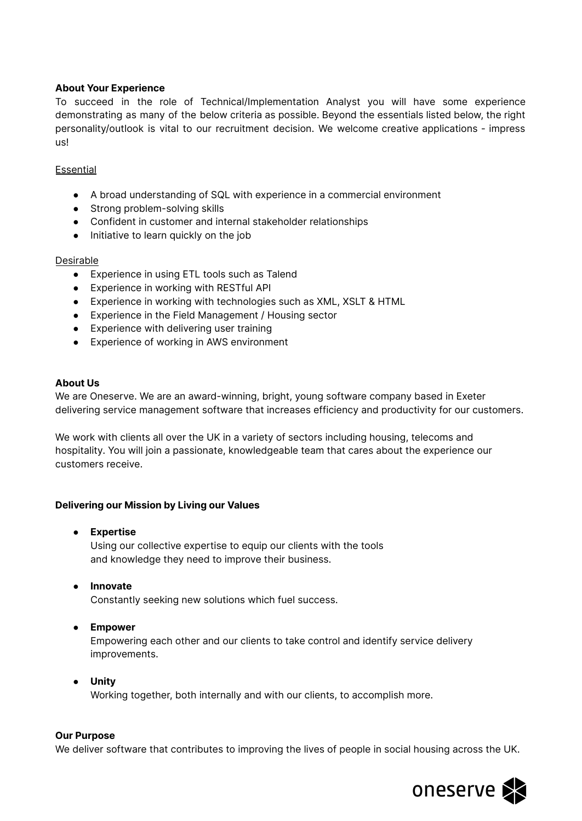## **About Your Experience**

To succeed in the role of Technical/Implementation Analyst you will have some experience demonstrating as many of the below criteria as possible. Beyond the essentials listed below, the right personality/outlook is vital to our recruitment decision. We welcome creative applications - impress us!

### Essential

- A broad understanding of SQL with experience in a commercial environment
- Strong problem-solving skills
- Confident in customer and internal stakeholder relationships
- Initiative to learn quickly on the job

### **Desirable**

- Experience in using ETL tools such as Talend
- Experience in working with RESTful API
- Experience in working with technologies such as XML, XSLT & HTML
- Experience in the Field Management / Housing sector
- Experience with delivering user training
- Experience of working in AWS environment

## **About Us**

We are Oneserve. We are an award-winning, bright, young software company based in Exeter delivering service management software that increases efficiency and productivity for our customers.

We work with clients all over the UK in a variety of sectors including housing, telecoms and hospitality. You will join a passionate, knowledgeable team that cares about the experience our customers receive.

## **Delivering our Mission by Living our Values**

- **● Expertise** Using our collective expertise to equip our clients with the tools and knowledge they need to improve their business.
- **● Innovate** Constantly seeking new solutions which fuel success.
- **● Empower**

Empowering each other and our clients to take control and identify service delivery improvements.

**● Unity** Working together, both internally and with our clients, to accomplish more.

#### **Our Purpose**

We deliver software that contributes to improving the lives of people in social housing across the UK.